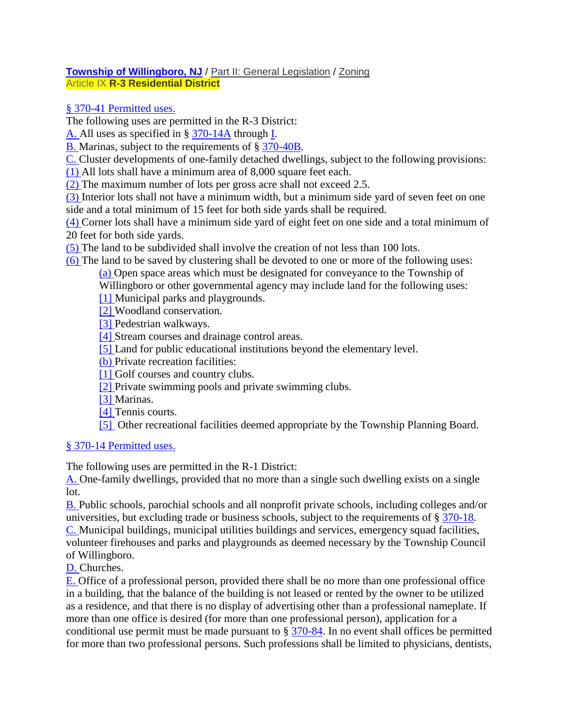### **[Township of Willingboro, NJ](https://ecode360.com/WI3070)** / [Part II: General Legislation](https://ecode360.com/26959402) / [Zoning](https://ecode360.com/15568995) Article IX **[R-3 Residential District](https://ecode360.com/15569423)**

# § [370-41 Permitted uses.](https://www.ecode360.com/15569446?searchId=3038641478724341&highlight=r%203%20residential,r%203%20residential%20zoning%20description#15569424)

The following uses are permitted in the R-3 District:

[A.](https://www.ecode360.com/15569425#15569425) All uses as specified in § [370-14A](https://www.ecode360.com/15569174#15569174) through [I.](https://www.ecode360.com/15569182#15569182)

[B.](https://www.ecode360.com/15569426#15569426) Marinas, subject to the requirements of § [370-40B.](https://www.ecode360.com/15569399#15569399)

[C.](https://www.ecode360.com/15569427#15569427) Cluster developments of one-family detached dwellings, subject to the following provisions:

[\(1\)](https://www.ecode360.com/15569428#15569428) All lots shall have a minimum area of 8,000 square feet each.

[\(2\)](https://www.ecode360.com/15569429#15569429) The maximum number of lots per gross acre shall not exceed 2.5.

[\(3\)](https://www.ecode360.com/15569430#15569430) Interior lots shall not have a minimum width, but a minimum side yard of seven feet on one side and a total minimum of 15 feet for both side yards shall be required.

[\(4\)](https://www.ecode360.com/15569431#15569431) Corner lots shall have a minimum side yard of eight feet on one side and a total minimum of 20 feet for both side yards.

[\(5\)](https://www.ecode360.com/15569432#15569432) The land to be subdivided shall involve the creation of not less than 100 lots.

[\(6\)](https://www.ecode360.com/15569433#15569433) The land to be saved by clustering shall be devoted to one or more of the following uses:

[\(a\)](https://www.ecode360.com/15569434#15569434) Open space areas which must be designated for conveyance to the Township of

Willingboro or other governmental agency may include land for the following uses:

[\[1\]](https://www.ecode360.com/15569435#15569435) Municipal parks and playgrounds.

[\[2\]](https://www.ecode360.com/15569436#15569436) Woodland conservation.

[\[3\]](https://www.ecode360.com/15569437#15569437) Pedestrian walkways.

[\[4\]](https://www.ecode360.com/15569438#15569438) Stream courses and drainage control areas.

[\[5\]](https://www.ecode360.com/15569439#15569439) Land for public educational institutions beyond the elementary level.

[\(b\)](https://www.ecode360.com/15569440#15569440) Private recreation facilities:

[\[1\]](https://www.ecode360.com/15569441#15569441) Golf courses and country clubs.

[\[2\]](https://www.ecode360.com/15569442#15569442) Private swimming pools and private swimming clubs.

[\[3\]](https://www.ecode360.com/15569443#15569443) Marinas.

[\[4\]](https://www.ecode360.com/15569444#15569444) Tennis courts.

[\[5\]](https://www.ecode360.com/15569445#15569445) Other recreational facilities deemed appropriate by the Township Planning Board.

# § [370-14 Permitted uses.](https://www.ecode360.com/15569174#15569173)

The following uses are permitted in the R-1 District:

[A.](https://www.ecode360.com/15569174#15569174) One-family dwellings, provided that no more than a single such dwelling exists on a single lot.

[B.](https://www.ecode360.com/15569175#15569175) Public schools, parochial schools and all nonprofit private schools, including colleges and/or universities, but excluding trade or business schools, subject to the requirements of § [370-18.](https://www.ecode360.com/15569207#15569207) [C.](https://www.ecode360.com/15569176#15569176) Municipal buildings, municipal utilities buildings and services, emergency squad facilities, volunteer firehouses and parks and playgrounds as deemed necessary by the Township Council of Willingboro.

[D.](https://www.ecode360.com/15569177#15569177) Churches.

[E.](https://www.ecode360.com/15569178#15569178) Office of a professional person, provided there shall be no more than one professional office in a building, that the balance of the building is not leased or rented by the owner to be utilized as a residence, and that there is no display of advertising other than a professional nameplate. If more than one office is desired (for more than one professional person), application for a conditional use permit must be made pursuant to § [370-84.](https://www.ecode360.com/15569805#15569805) In no event shall offices be permitted for more than two professional persons. Such professions shall be limited to physicians, dentists,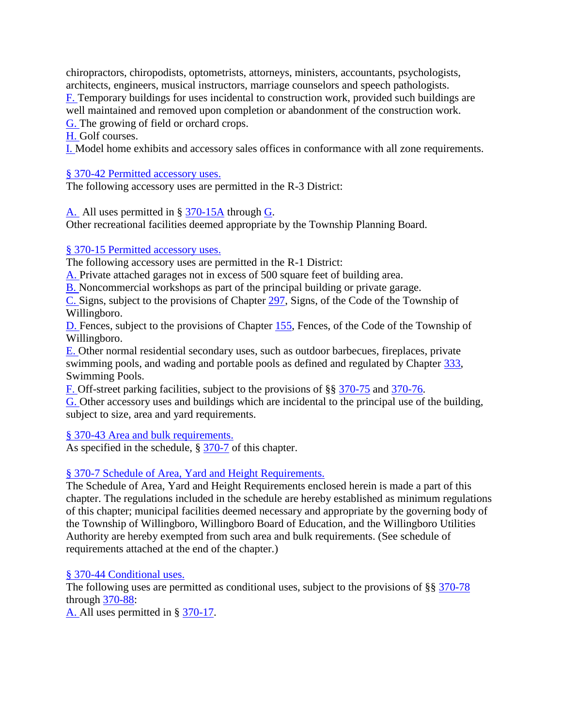chiropractors, chiropodists, optometrists, attorneys, ministers, accountants, psychologists, architects, engineers, musical instructors, marriage counselors and speech pathologists. [F.](https://www.ecode360.com/15569179#15569179) Temporary buildings for uses incidental to construction work, provided such buildings are well maintained and removed upon completion or abandonment of the construction work. [G.](https://www.ecode360.com/15569180#15569180) The growing of field or orchard crops.

[H.](https://www.ecode360.com/15569181#15569181) Golf courses.

[I.](https://www.ecode360.com/15569182#15569182) Model home exhibits and accessory sales offices in conformance with all zone requirements.

§ [370-42 Permitted accessory uses.](https://www.ecode360.com/15569446?searchId=3038641478724341&highlight=r%203%20residential,r%203%20residential%20zoning%20description#15569446) 

The following accessory uses are permitted in the R-3 District:

[A.](https://www.ecode360.com/26937426#26937426) All uses permitted in § [370-15A](https://www.ecode360.com/15569195#15569195) through [G.](https://www.ecode360.com/15569201#15569201)

Other recreational facilities deemed appropriate by the Township Planning Board.

### § [370-15 Permitted accessory uses.](https://www.ecode360.com/15569195#15569194)

The following accessory uses are permitted in the R-1 District:

[A.](https://www.ecode360.com/15569195#15569195) Private attached garages not in excess of 500 square feet of building area.

[B.](https://www.ecode360.com/15569196#15569196) Noncommercial workshops as part of the principal building or private garage.

[C.](https://www.ecode360.com/15569197#15569197) Signs, subject to the provisions of Chapter [297,](https://www.ecode360.com/15603138#15603138) Signs, of the Code of the Township of Willingboro.

[D.](https://www.ecode360.com/15569198#15569198) Fences, subject to the provisions of Chapter [155,](https://www.ecode360.com/15603308#15603308) Fences, of the Code of the Township of Willingboro.

[E.](https://www.ecode360.com/15569199#15569199) Other normal residential secondary uses, such as outdoor barbecues, fireplaces, private swimming pools, and wading and portable pools as defined and regulated by Chapter [333,](https://www.ecode360.com/15568311#15568311) Swimming Pools.

[F.](https://www.ecode360.com/15569200#15569200) Off-street parking facilities, subject to the provisions of §§ [370-75](https://www.ecode360.com/15569666#15569666) and [370-76.](https://www.ecode360.com/15569723#15569723)

[G.](https://www.ecode360.com/15569201#15569201) Other accessory uses and buildings which are incidental to the principal use of the building, subject to size, area and yard requirements.

§ [370-43 Area and bulk requirements.](https://www.ecode360.com/15569446?searchId=3038641478724341&highlight=r%203%20residential,r%203%20residential%20zoning%20description#15569447) 

As specified in the schedule, § [370-7](https://www.ecode360.com/15569086#15569086) of this chapter.

## § [370-7 Schedule of Area, Yard and Height Requirements.](https://www.ecode360.com/15569086#15569086)

The Schedule of Area, Yard and Height Requirements enclosed herein is made a part of this chapter. The regulations included in the schedule are hereby established as minimum regulations of this chapter; municipal facilities deemed necessary and appropriate by the governing body of the Township of Willingboro, Willingboro Board of Education, and the Willingboro Utilities Authority are hereby exempted from such area and bulk requirements. (See schedule of requirements attached at the end of the chapter.)

#### § [370-44 Conditional uses.](https://www.ecode360.com/15569446?searchId=3038641478724341&highlight=r%203%20residential,r%203%20residential%20zoning%20description#15569448)

The following uses are permitted as conditional uses, subject to the provisions of §§ [370-78](https://www.ecode360.com/15569730#15569730) through [370-88:](https://www.ecode360.com/15569835#15569835)

[A.](https://www.ecode360.com/15569449#15569449) All uses permitted in § [370-17.](https://www.ecode360.com/15569203#15569203)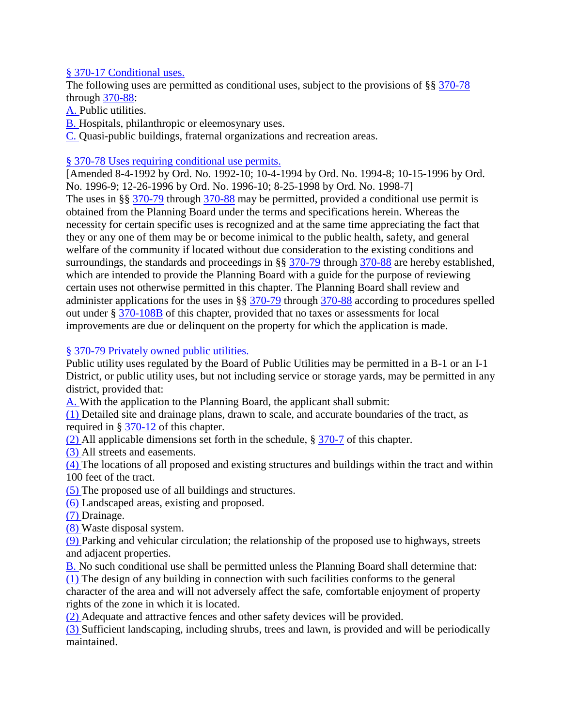### § [370-17 Conditional uses.](https://www.ecode360.com/15569203#15569203)

The following uses are permitted as conditional uses, subject to the provisions of §§ [370-78](https://www.ecode360.com/15569730#15569730) through [370-88:](https://www.ecode360.com/15569835#15569835)

[A.](https://www.ecode360.com/15569204#15569204) Public utilities.

[B.](https://www.ecode360.com/15569205#15569205) Hospitals, philanthropic or eleemosynary uses.

[C.](https://www.ecode360.com/15569206#15569206) Quasi-public buildings, fraternal organizations and recreation areas.

#### § [370-78 Uses requiring conditional use permits.](https://www.ecode360.com/15569730#15569730)

[Amended 8-4-1992 by Ord. No. 1992-10; 10-4-1994 by Ord. No. 1994-8; 10-15-1996 by Ord. No. 1996-9; 12-26-1996 by Ord. No. 1996-10; 8-25-1998 by Ord. No. 1998-7] The uses in §§ [370-79](https://www.ecode360.com/15569731#15569731) through [370-88](https://www.ecode360.com/15569835#15569835) may be permitted, provided a conditional use permit is obtained from the Planning Board under the terms and specifications herein. Whereas the necessity for certain specific uses is recognized and at the same time appreciating the fact that they or any one of them may be or become inimical to the public health, safety, and general welfare of the community if located without due consideration to the existing conditions and surroundings, the standards and proceedings in §§ [370-79](https://www.ecode360.com/15569731#15569731) through [370-88](https://www.ecode360.com/15569835#15569835) are hereby established, which are intended to provide the Planning Board with a guide for the purpose of reviewing certain uses not otherwise permitted in this chapter. The Planning Board shall review and administer applications for the uses in §§ [370-79](https://www.ecode360.com/15569731#15569731) through [370-88](https://www.ecode360.com/15569835#15569835) according to procedures spelled out under § [370-108B](https://www.ecode360.com/15569964#15569964) of this chapter, provided that no taxes or assessments for local improvements are due or delinquent on the property for which the application is made.

### § [370-79 Privately owned public utilities.](https://www.ecode360.com/15569730#15569731)

Public utility uses regulated by the Board of Public Utilities may be permitted in a B-1 or an I-1 District, or public utility uses, but not including service or storage yards, may be permitted in any district, provided that:

[A.](https://www.ecode360.com/15569732#15569732) With the application to the Planning Board, the applicant shall submit:

[\(1\)](https://www.ecode360.com/15569733#15569733) Detailed site and drainage plans, drawn to scale, and accurate boundaries of the tract, as required in § [370-12](https://www.ecode360.com/15569112#15569112) of this chapter.

[\(2\)](https://www.ecode360.com/15569734#15569734) All applicable dimensions set forth in the schedule, § [370-7](https://www.ecode360.com/15569086#15569086) of this chapter.

[\(3\)](https://www.ecode360.com/15569735#15569735) All streets and easements.

[\(4\)](https://www.ecode360.com/15569736#15569736) The locations of all proposed and existing structures and buildings within the tract and within 100 feet of the tract.

[\(5\)](https://www.ecode360.com/15569737#15569737) The proposed use of all buildings and structures.

[\(6\)](https://www.ecode360.com/15569738#15569738) Landscaped areas, existing and proposed.

[\(7\)](https://www.ecode360.com/15569739#15569739) Drainage.

[\(8\)](https://www.ecode360.com/15569740#15569740) Waste disposal system.

[\(9\)](https://www.ecode360.com/15569741#15569741) Parking and vehicular circulation; the relationship of the proposed use to highways, streets and adjacent properties.

[B.](https://www.ecode360.com/15569742#15569742) No such conditional use shall be permitted unless the Planning Board shall determine that: [\(1\)](https://www.ecode360.com/15569743#15569743) The design of any building in connection with such facilities conforms to the general character of the area and will not adversely affect the safe, comfortable enjoyment of property rights of the zone in which it is located.

[\(2\)](https://www.ecode360.com/15569744#15569744) Adequate and attractive fences and other safety devices will be provided.

[\(3\)](https://www.ecode360.com/15569745#15569745) Sufficient landscaping, including shrubs, trees and lawn, is provided and will be periodically maintained.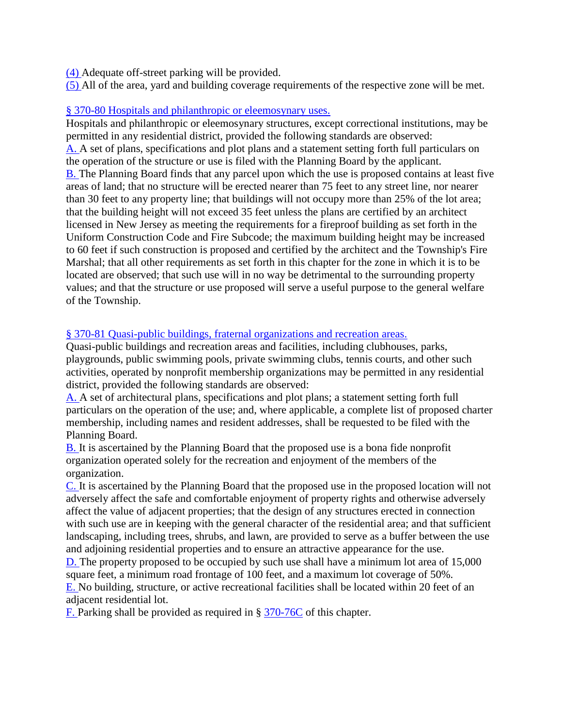[\(4\)](https://www.ecode360.com/15569746#15569746) Adequate off-street parking will be provided.

[\(5\)](https://www.ecode360.com/15569747#15569747) All of the area, yard and building coverage requirements of the respective zone will be met.

### § [370-80 Hospitals and philanthropic or eleemosynary uses.](https://www.ecode360.com/15569730#15569748)

Hospitals and philanthropic or eleemosynary structures, except correctional institutions, may be permitted in any residential district, provided the following standards are observed: [A.](https://www.ecode360.com/15569749#15569749) A set of plans, specifications and plot plans and a statement setting forth full particulars on the operation of the structure or use is filed with the Planning Board by the applicant. [B.](https://www.ecode360.com/15569750#15569750) The Planning Board finds that any parcel upon which the use is proposed contains at least five areas of land; that no structure will be erected nearer than 75 feet to any street line, nor nearer than 30 feet to any property line; that buildings will not occupy more than 25% of the lot area; that the building height will not exceed 35 feet unless the plans are certified by an architect licensed in New Jersey as meeting the requirements for a fireproof building as set forth in the Uniform Construction Code and Fire Subcode; the maximum building height may be increased to 60 feet if such construction is proposed and certified by the architect and the Township's Fire Marshal; that all other requirements as set forth in this chapter for the zone in which it is to be located are observed; that such use will in no way be detrimental to the surrounding property values; and that the structure or use proposed will serve a useful purpose to the general welfare of the Township.

## § [370-81 Quasi-public buildings, fraternal organizations and recreation areas.](https://www.ecode360.com/15569730#15569751)

Quasi-public buildings and recreation areas and facilities, including clubhouses, parks, playgrounds, public swimming pools, private swimming clubs, tennis courts, and other such activities, operated by nonprofit membership organizations may be permitted in any residential district, provided the following standards are observed:

[A.](https://www.ecode360.com/15569752#15569752) A set of architectural plans, specifications and plot plans; a statement setting forth full particulars on the operation of the use; and, where applicable, a complete list of proposed charter membership, including names and resident addresses, shall be requested to be filed with the Planning Board.

[B.](https://www.ecode360.com/15569753#15569753) It is ascertained by the Planning Board that the proposed use is a bona fide nonprofit organization operated solely for the recreation and enjoyment of the members of the organization.

[C.](https://www.ecode360.com/15569754#15569754) It is ascertained by the Planning Board that the proposed use in the proposed location will not adversely affect the safe and comfortable enjoyment of property rights and otherwise adversely affect the value of adjacent properties; that the design of any structures erected in connection with such use are in keeping with the general character of the residential area; and that sufficient landscaping, including trees, shrubs, and lawn, are provided to serve as a buffer between the use and adjoining residential properties and to ensure an attractive appearance for the use.

[D.](https://www.ecode360.com/15569755#15569755) The property proposed to be occupied by such use shall have a minimum lot area of 15,000 square feet, a minimum road frontage of 100 feet, and a maximum lot coverage of 50%. [E.](https://www.ecode360.com/15569756#15569756) No building, structure, or active recreational facilities shall be located within 20 feet of an adjacent residential lot.

[F.](https://www.ecode360.com/15569757#15569757) Parking shall be provided as required in § [370-76C](https://www.ecode360.com/15569716#15569716) of this chapter.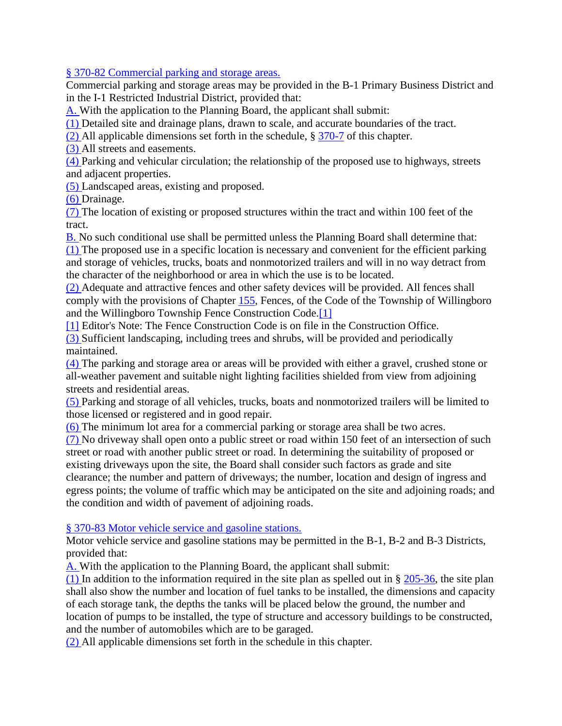§ [370-82 Commercial parking and storage areas.](https://www.ecode360.com/15569730#15569758) 

Commercial parking and storage areas may be provided in the B-1 Primary Business District and in the I-1 Restricted Industrial District, provided that:

[A.](https://www.ecode360.com/15569759#15569759) With the application to the Planning Board, the applicant shall submit:

[\(1\)](https://www.ecode360.com/15569760#15569760) Detailed site and drainage plans, drawn to scale, and accurate boundaries of the tract.

[\(2\)](https://www.ecode360.com/15569761#15569761) All applicable dimensions set forth in the schedule, § [370-7](https://www.ecode360.com/15569086#15569086) of this chapter.

[\(3\)](https://www.ecode360.com/15569762#15569762) All streets and easements.

[\(4\)](https://www.ecode360.com/15569763#15569763) Parking and vehicular circulation; the relationship of the proposed use to highways, streets and adjacent properties.

[\(5\)](https://www.ecode360.com/15569764#15569764) Landscaped areas, existing and proposed.

[\(6\)](https://www.ecode360.com/15569765#15569765) Drainage.

[\(7\)](https://www.ecode360.com/15569766#15569766) The location of existing or proposed structures within the tract and within 100 feet of the tract.

[B.](https://www.ecode360.com/15569767#15569767) No such conditional use shall be permitted unless the Planning Board shall determine that: [\(1\)](https://www.ecode360.com/15569768#15569768) The proposed use in a specific location is necessary and convenient for the efficient parking and storage of vehicles, trucks, boats and nonmotorized trailers and will in no way detract from the character of the neighborhood or area in which the use is to be located.

[\(2\)](https://www.ecode360.com/15569769#15569769) Adequate and attractive fences and other safety devices will be provided. All fences shall comply with the provisions of Chapter [155,](https://www.ecode360.com/15603308#15603308) Fences, of the Code of the Township of Willingboro and the Willingboro Township Fence Construction Code[.\[1\]](https://www.ecode360.com/15569730#ft15569769-1)

[\[1\]](https://www.ecode360.com/15569730#ref15569769-1) Editor's Note: The Fence Construction Code is on file in the Construction Office.

[\(3\)](https://www.ecode360.com/15569770#15569770) Sufficient landscaping, including trees and shrubs, will be provided and periodically maintained.

[\(4\)](https://www.ecode360.com/15569771#15569771) The parking and storage area or areas will be provided with either a gravel, crushed stone or all-weather pavement and suitable night lighting facilities shielded from view from adjoining streets and residential areas.

[\(5\)](https://www.ecode360.com/15569772#15569772) Parking and storage of all vehicles, trucks, boats and nonmotorized trailers will be limited to those licensed or registered and in good repair.

[\(6\)](https://www.ecode360.com/15569773#15569773) The minimum lot area for a commercial parking or storage area shall be two acres.

[\(7\)](https://www.ecode360.com/15569774#15569774) No driveway shall open onto a public street or road within 150 feet of an intersection of such street or road with another public street or road. In determining the suitability of proposed or existing driveways upon the site, the Board shall consider such factors as grade and site clearance; the number and pattern of driveways; the number, location and design of ingress and egress points; the volume of traffic which may be anticipated on the site and adjoining roads; and the condition and width of pavement of adjoining roads.

§ [370-83 Motor vehicle service and gasoline stations.](https://www.ecode360.com/15569730#15569775) 

Motor vehicle service and gasoline stations may be permitted in the B-1, B-2 and B-3 Districts, provided that:

[A.](https://www.ecode360.com/15569776#15569776) With the application to the Planning Board, the applicant shall submit:

[\(1\)](https://www.ecode360.com/15569777#15569777) In addition to the information required in the site plan as spelled out in  $\S$  [205-36,](https://www.ecode360.com/15567869#15567869) the site plan shall also show the number and location of fuel tanks to be installed, the dimensions and capacity of each storage tank, the depths the tanks will be placed below the ground, the number and location of pumps to be installed, the type of structure and accessory buildings to be constructed, and the number of automobiles which are to be garaged.

[\(2\)](https://www.ecode360.com/15569778#15569778) All applicable dimensions set forth in the schedule in this chapter.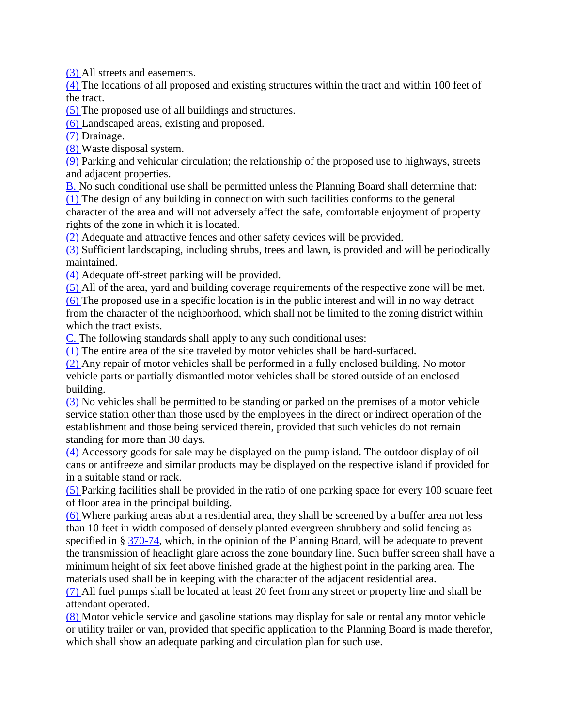[\(3\)](https://www.ecode360.com/15569779#15569779) All streets and easements.

[\(4\)](https://www.ecode360.com/15569780#15569780) The locations of all proposed and existing structures within the tract and within 100 feet of the tract.

[\(5\)](https://www.ecode360.com/15569781#15569781) The proposed use of all buildings and structures.

[\(6\)](https://www.ecode360.com/15569782#15569782) Landscaped areas, existing and proposed.

[\(7\)](https://www.ecode360.com/15569783#15569783) Drainage.

[\(8\)](https://www.ecode360.com/15569784#15569784) Waste disposal system.

[\(9\)](https://www.ecode360.com/15569785#15569785) Parking and vehicular circulation; the relationship of the proposed use to highways, streets and adjacent properties.

[B.](https://www.ecode360.com/15569786#15569786) No such conditional use shall be permitted unless the Planning Board shall determine that: [\(1\)](https://www.ecode360.com/15569787#15569787) The design of any building in connection with such facilities conforms to the general character of the area and will not adversely affect the safe, comfortable enjoyment of property rights of the zone in which it is located.

[\(2\)](https://www.ecode360.com/15569788#15569788) Adequate and attractive fences and other safety devices will be provided.

[\(3\)](https://www.ecode360.com/15569789#15569789) Sufficient landscaping, including shrubs, trees and lawn, is provided and will be periodically maintained.

[\(4\)](https://www.ecode360.com/15569790#15569790) Adequate off-street parking will be provided.

[\(5\)](https://www.ecode360.com/15569791#15569791) All of the area, yard and building coverage requirements of the respective zone will be met.

[\(6\)](https://www.ecode360.com/15569792#15569792) The proposed use in a specific location is in the public interest and will in no way detract from the character of the neighborhood, which shall not be limited to the zoning district within which the tract exists.

[C.](https://www.ecode360.com/15569793#15569793) The following standards shall apply to any such conditional uses:

[\(1\)](https://www.ecode360.com/15569794#15569794) The entire area of the site traveled by motor vehicles shall be hard-surfaced.

[\(2\)](https://www.ecode360.com/15569795#15569795) Any repair of motor vehicles shall be performed in a fully enclosed building. No motor vehicle parts or partially dismantled motor vehicles shall be stored outside of an enclosed building.

[\(3\)](https://www.ecode360.com/15569796#15569796) No vehicles shall be permitted to be standing or parked on the premises of a motor vehicle service station other than those used by the employees in the direct or indirect operation of the establishment and those being serviced therein, provided that such vehicles do not remain standing for more than 30 days.

[\(4\)](https://www.ecode360.com/15569797#15569797) Accessory goods for sale may be displayed on the pump island. The outdoor display of oil cans or antifreeze and similar products may be displayed on the respective island if provided for in a suitable stand or rack.

[\(5\)](https://www.ecode360.com/15569798#15569798) Parking facilities shall be provided in the ratio of one parking space for every 100 square feet of floor area in the principal building.

[\(6\)](https://www.ecode360.com/15569799#15569799) Where parking areas abut a residential area, they shall be screened by a buffer area not less than 10 feet in width composed of densely planted evergreen shrubbery and solid fencing as specified in § [370-74,](https://www.ecode360.com/15569662#15569662) which, in the opinion of the Planning Board, will be adequate to prevent the transmission of headlight glare across the zone boundary line. Such buffer screen shall have a minimum height of six feet above finished grade at the highest point in the parking area. The materials used shall be in keeping with the character of the adjacent residential area.

[\(7\)](https://www.ecode360.com/15569800#15569800) All fuel pumps shall be located at least 20 feet from any street or property line and shall be attendant operated.

[\(8\)](https://www.ecode360.com/15569801#15569801) Motor vehicle service and gasoline stations may display for sale or rental any motor vehicle or utility trailer or van, provided that specific application to the Planning Board is made therefor, which shall show an adequate parking and circulation plan for such use.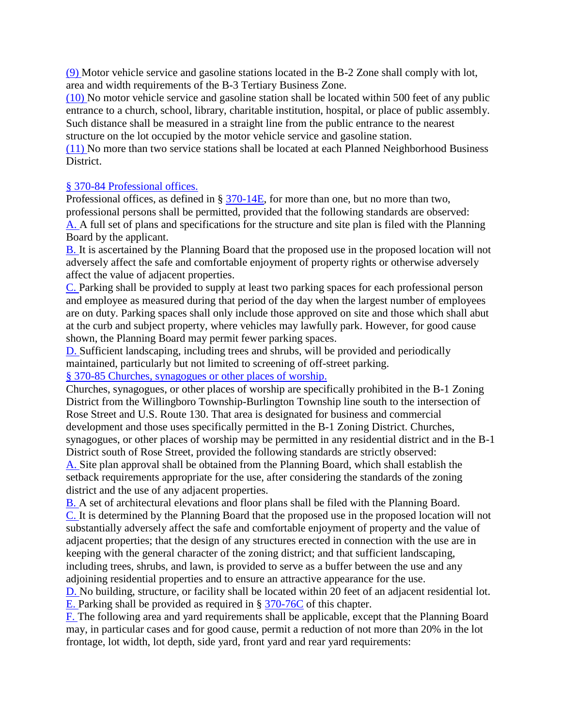[\(9\)](https://www.ecode360.com/15569802#15569802) Motor vehicle service and gasoline stations located in the B-2 Zone shall comply with lot, area and width requirements of the B-3 Tertiary Business Zone.

[\(10\)](https://www.ecode360.com/15569803#15569803) No motor vehicle service and gasoline station shall be located within 500 feet of any public entrance to a church, school, library, charitable institution, hospital, or place of public assembly. Such distance shall be measured in a straight line from the public entrance to the nearest structure on the lot occupied by the motor vehicle service and gasoline station.

[\(11\)](https://www.ecode360.com/15569804#15569804) No more than two service stations shall be located at each Planned Neighborhood Business District.

### § [370-84 Professional offices.](https://www.ecode360.com/15569730#15569805)

Professional offices, as defined in §  $370-14E$ , for more than one, but no more than two, professional persons shall be permitted, provided that the following standards are observed: [A.](https://www.ecode360.com/15569806#15569806) A full set of plans and specifications for the structure and site plan is filed with the Planning Board by the applicant.

[B.](https://www.ecode360.com/15569807#15569807) It is ascertained by the Planning Board that the proposed use in the proposed location will not adversely affect the safe and comfortable enjoyment of property rights or otherwise adversely affect the value of adjacent properties.

[C.](https://www.ecode360.com/15569808#15569808) Parking shall be provided to supply at least two parking spaces for each professional person and employee as measured during that period of the day when the largest number of employees are on duty. Parking spaces shall only include those approved on site and those which shall abut at the curb and subject property, where vehicles may lawfully park. However, for good cause shown, the Planning Board may permit fewer parking spaces.

[D.](https://www.ecode360.com/15569809#15569809) Sufficient landscaping, including trees and shrubs, will be provided and periodically maintained, particularly but not limited to screening of off-street parking.

§ [370-85 Churches, synagogues or other places of worship.](https://www.ecode360.com/15569730#15569810) 

Churches, synagogues, or other places of worship are specifically prohibited in the B-1 Zoning District from the Willingboro Township-Burlington Township line south to the intersection of Rose Street and U.S. Route 130. That area is designated for business and commercial development and those uses specifically permitted in the B-1 Zoning District. Churches, synagogues, or other places of worship may be permitted in any residential district and in the B-1 District south of Rose Street, provided the following standards are strictly observed: [A.](https://www.ecode360.com/15569811#15569811) Site plan approval shall be obtained from the Planning Board, which shall establish the

setback requirements appropriate for the use, after considering the standards of the zoning district and the use of any adjacent properties.

[B.](https://www.ecode360.com/15569812#15569812) A set of architectural elevations and floor plans shall be filed with the Planning Board. [C.](https://www.ecode360.com/15569813#15569813) It is determined by the Planning Board that the proposed use in the proposed location will not substantially adversely affect the safe and comfortable enjoyment of property and the value of adjacent properties; that the design of any structures erected in connection with the use are in keeping with the general character of the zoning district; and that sufficient landscaping, including trees, shrubs, and lawn, is provided to serve as a buffer between the use and any adjoining residential properties and to ensure an attractive appearance for the use.

[D.](https://www.ecode360.com/15569814#15569814) No building, structure, or facility shall be located within 20 feet of an adjacent residential lot. [E.](https://www.ecode360.com/15569815#15569815) Parking shall be provided as required in § [370-76C](https://www.ecode360.com/15569716#15569716) of this chapter.

[F.](https://www.ecode360.com/15569816#15569816) The following area and yard requirements shall be applicable, except that the Planning Board may, in particular cases and for good cause, permit a reduction of not more than 20% in the lot frontage, lot width, lot depth, side yard, front yard and rear yard requirements: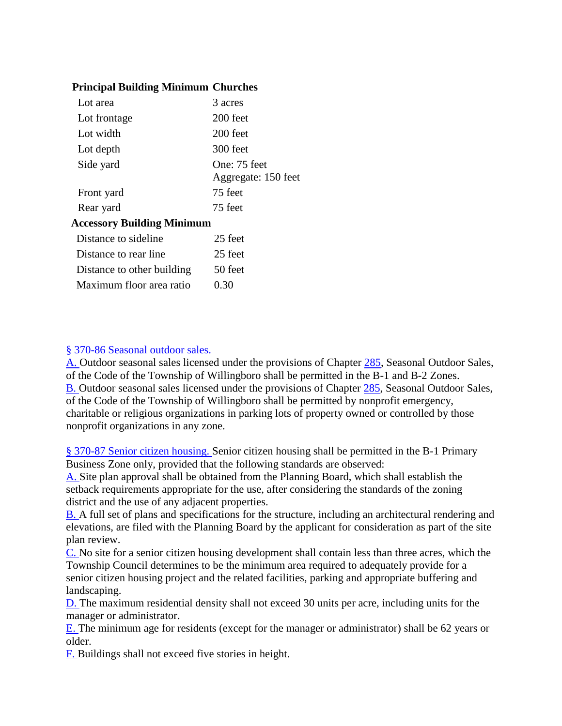### **Principal Building Minimum Churches**

| Lot area                          | 3 acres                             |
|-----------------------------------|-------------------------------------|
| Lot frontage                      | 200 feet                            |
| Lot width                         | 200 feet                            |
| Lot depth                         | 300 feet                            |
| Side yard                         | One: 75 feet<br>Aggregate: 150 feet |
| Front yard                        | 75 feet                             |
| Rear yard                         | 75 feet                             |
| <b>Accessory Building Minimum</b> |                                     |
| Distance to sideline              | 25 feet                             |
| Distance to rear line             | 25 feet                             |
| Distance to other building        | 50 feet                             |
| Maximum floor area ratio          | 0.30                                |

### § [370-86 Seasonal outdoor sales.](https://www.ecode360.com/15569730#15569817)

[A.](https://www.ecode360.com/15569818#15569818) Outdoor seasonal sales licensed under the provisions of Chapter [285,](https://www.ecode360.com/15609306#15609306) Seasonal Outdoor Sales, of the Code of the Township of Willingboro shall be permitted in the B-1 and B-2 Zones. [B.](https://www.ecode360.com/15569819#15569819) Outdoor seasonal sales licensed under the provisions of Chapter [285,](https://www.ecode360.com/15609306#15609306) Seasonal Outdoor Sales, of the Code of the Township of Willingboro shall be permitted by nonprofit emergency, charitable or religious organizations in parking lots of property owned or controlled by those nonprofit organizations in any zone.

§ [370-87 Senior citizen housing. S](https://www.ecode360.com/15569730#15569820)enior citizen housing shall be permitted in the B-1 Primary Business Zone only, provided that the following standards are observed:

[A.](https://www.ecode360.com/15569821#15569821) Site plan approval shall be obtained from the Planning Board, which shall establish the setback requirements appropriate for the use, after considering the standards of the zoning district and the use of any adjacent properties.

[B.](https://www.ecode360.com/15569822#15569822) A full set of plans and specifications for the structure, including an architectural rendering and elevations, are filed with the Planning Board by the applicant for consideration as part of the site plan review.

[C.](https://www.ecode360.com/15569823#15569823) No site for a senior citizen housing development shall contain less than three acres, which the Township Council determines to be the minimum area required to adequately provide for a senior citizen housing project and the related facilities, parking and appropriate buffering and landscaping.

[D.](https://www.ecode360.com/15569824#15569824) The maximum residential density shall not exceed 30 units per acre, including units for the manager or administrator.

[E.](https://www.ecode360.com/15569825#15569825) The minimum age for residents (except for the manager or administrator) shall be 62 years or older.

[F.](https://www.ecode360.com/15569826#15569826) Buildings shall not exceed five stories in height.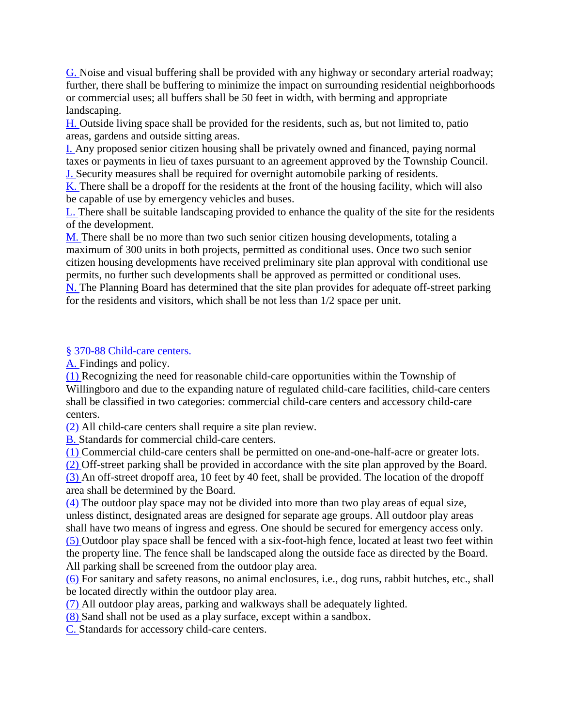[G.](https://www.ecode360.com/15569827#15569827) Noise and visual buffering shall be provided with any highway or secondary arterial roadway; further, there shall be buffering to minimize the impact on surrounding residential neighborhoods or commercial uses; all buffers shall be 50 feet in width, with berming and appropriate landscaping.

[H.](https://www.ecode360.com/15569828#15569828) Outside living space shall be provided for the residents, such as, but not limited to, patio areas, gardens and outside sitting areas.

[I.](https://www.ecode360.com/15569829#15569829) Any proposed senior citizen housing shall be privately owned and financed, paying normal taxes or payments in lieu of taxes pursuant to an agreement approved by the Township Council. [J.](https://www.ecode360.com/15569830#15569830) Security measures shall be required for overnight automobile parking of residents.

[K.](https://www.ecode360.com/15569831#15569831) There shall be a dropoff for the residents at the front of the housing facility, which will also be capable of use by emergency vehicles and buses.

[L.](https://www.ecode360.com/15569832#15569832) There shall be suitable landscaping provided to enhance the quality of the site for the residents of the development.

[M.](https://www.ecode360.com/15569833#15569833) There shall be no more than two such senior citizen housing developments, totaling a maximum of 300 units in both projects, permitted as conditional uses. Once two such senior citizen housing developments have received preliminary site plan approval with conditional use permits, no further such developments shall be approved as permitted or conditional uses.

[N.](https://www.ecode360.com/15569834#15569834) The Planning Board has determined that the site plan provides for adequate off-street parking for the residents and visitors, which shall be not less than 1/2 space per unit.

## § [370-88 Child-care centers.](https://www.ecode360.com/15569730#15569835)

[A.](https://www.ecode360.com/15569836#15569836) Findings and policy.

[\(1\)](https://www.ecode360.com/15569837#15569837) Recognizing the need for reasonable child-care opportunities within the Township of Willingboro and due to the expanding nature of regulated child-care facilities, child-care centers shall be classified in two categories: commercial child-care centers and accessory child-care centers.

[\(2\)](https://www.ecode360.com/15569838#15569838) All child-care centers shall require a site plan review.

[B.](https://www.ecode360.com/15569839#15569839) Standards for commercial child-care centers.

[\(1\)](https://www.ecode360.com/15569840#15569840) Commercial child-care centers shall be permitted on one-and-one-half-acre or greater lots.

[\(2\)](https://www.ecode360.com/15569841#15569841) Off-street parking shall be provided in accordance with the site plan approved by the Board. [\(3\)](https://www.ecode360.com/15569842#15569842) An off-street dropoff area, 10 feet by 40 feet, shall be provided. The location of the dropoff area shall be determined by the Board.

[\(4\)](https://www.ecode360.com/15569843#15569843) The outdoor play space may not be divided into more than two play areas of equal size, unless distinct, designated areas are designed for separate age groups. All outdoor play areas shall have two means of ingress and egress. One should be secured for emergency access only.

[\(5\)](https://www.ecode360.com/15569844#15569844) Outdoor play space shall be fenced with a six-foot-high fence, located at least two feet within the property line. The fence shall be landscaped along the outside face as directed by the Board. All parking shall be screened from the outdoor play area.

[\(6\)](https://www.ecode360.com/15569845#15569845) For sanitary and safety reasons, no animal enclosures, i.e., dog runs, rabbit hutches, etc., shall be located directly within the outdoor play area.

[\(7\)](https://www.ecode360.com/15569846#15569846) All outdoor play areas, parking and walkways shall be adequately lighted.

[\(8\)](https://www.ecode360.com/15569847#15569847) Sand shall not be used as a play surface, except within a sandbox.

[C.](https://www.ecode360.com/15569848#15569848) Standards for accessory child-care centers.